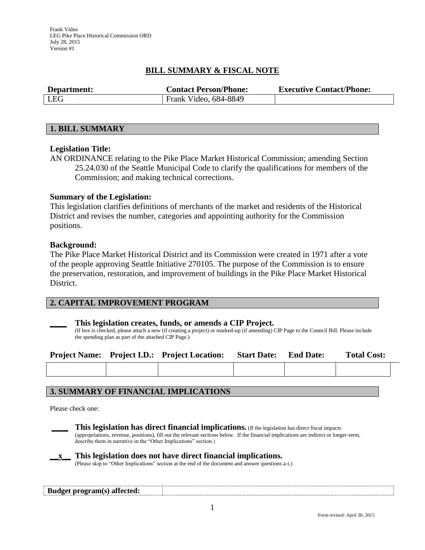Frank Video LEG Pike Place Historical Commission ORD July 28, 2015 Version #1

## **BILL SUMMARY & FISCAL NOTE**

| Department: | <b>Contact Person/Phone:</b> | <b>Executive Contact/Phone:</b> |  |  |  |
|-------------|------------------------------|---------------------------------|--|--|--|
| LEG         | Frank Video, 684-8849        |                                 |  |  |  |

#### **1. BILL SUMMARY**

#### **Legislation Title:**

AN ORDINANCE relating to the Pike Place Market Historical Commission; amending Section 25.24.030 of the Seattle Municipal Code to clarify the qualifications for members of the Commission; and making technical corrections.

#### **Summary of the Legislation:**

This legislation clarifies definitions of merchants of the market and residents of the Historical District and revises the number, categories and appointing authority for the Commission positions.

#### **Background:**

The Pike Place Market Historical District and its Commission were created in 1971 after a vote of the people approving Seattle Initiative 270105. The purpose of the Commission is to ensure the preservation, restoration, and improvement of buildings in the Pike Place Market Historical District.

## **2. CAPITAL IMPROVEMENT PROGRAM**

#### **\_\_\_\_ This legislation creates, funds, or amends a CIP Project.**

(If box is checked, please attach a new (if creating a project) or marked-up (if amending) CIP Page to the Council Bill. Please include the spending plan as part of the attached CIP Page.)

|  | <b>Project Name:</b> Project I.D.: Project Location: | <b>Start Date:</b> | <b>End Date:</b> | <b>Total Cost:</b> |
|--|------------------------------------------------------|--------------------|------------------|--------------------|
|  |                                                      |                    |                  |                    |

## **3. SUMMARY OF FINANCIAL IMPLICATIONS**

Please check one:



**\_\_\_\_ This legislation has direct financial implications***.* (If the legislation has direct fiscal impacts (appropriations, revenue, positions), fill out the relevant sections below. If the financial implications are indirect or longer-term, describe them in narrative in the "Other Implications" section.)

**\_\_x\_\_ This legislation does not have direct financial implications.** (Please skip to "Other Implications" section at the end of the document and answer questions a-i.)

# **Budget program(s) affected:**

1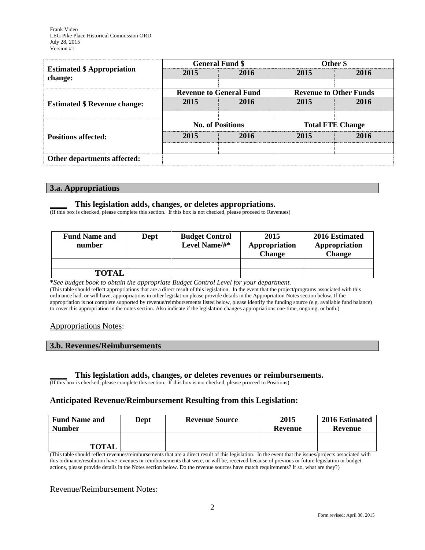|                                              |                                | <b>General Fund \$</b>  | Other \$                      |      |  |
|----------------------------------------------|--------------------------------|-------------------------|-------------------------------|------|--|
| <b>Estimated \$ Appropriation</b><br>change: | 2015                           | 2016                    | 2015                          | 2016 |  |
|                                              | <b>Revenue to General Fund</b> |                         | <b>Revenue to Other Funds</b> |      |  |
| <b>Estimated \$ Revenue change:</b>          | 2015<br>2016                   |                         | 2015                          | 2016 |  |
|                                              |                                |                         |                               |      |  |
|                                              |                                | <b>No. of Positions</b> | <b>Total FTE Change</b>       |      |  |
| <b>Positions affected:</b>                   | 2015                           | 2016                    | 2015                          | 2016 |  |
|                                              |                                |                         |                               |      |  |
| Other departments affected:                  |                                |                         |                               |      |  |

#### **3.a. Appropriations**

#### **\_\_\_\_ This legislation adds, changes, or deletes appropriations.**

(If this box is checked, please complete this section. If this box is not checked, please proceed to Revenues)

| <b>Fund Name and</b><br>number | Dept | <b>Budget Control</b><br>Level Name/#* | 2015<br>Appropriation<br><b>Change</b> | 2016 Estimated<br>Appropriation<br>Change |  |
|--------------------------------|------|----------------------------------------|----------------------------------------|-------------------------------------------|--|
|                                |      |                                        |                                        |                                           |  |
| <b>TOTAL</b>                   |      |                                        |                                        |                                           |  |

**\****See budget book to obtain the appropriate Budget Control Level for your department.*

(This table should reflect appropriations that are a direct result of this legislation. In the event that the project/programs associated with this ordinance had, or will have, appropriations in other legislation please provide details in the Appropriation Notes section below. If the appropriation is not complete supported by revenue/reimbursements listed below, please identify the funding source (e.g. available fund balance) to cover this appropriation in the notes section. Also indicate if the legislation changes appropriations one-time, ongoing, or both.)

#### Appropriations Notes:

#### **3.b. Revenues/Reimbursements**

#### **\_\_\_\_ This legislation adds, changes, or deletes revenues or reimbursements.**

(If this box is checked, please complete this section. If this box is not checked, please proceed to Positions)

## **Anticipated Revenue/Reimbursement Resulting from this Legislation:**

| <b>Fund Name and</b><br><b>Number</b> | <b>Dept</b> | <b>Revenue Source</b> | 2015<br>Revenue | 2016 Estimated<br>Revenue |
|---------------------------------------|-------------|-----------------------|-----------------|---------------------------|
|                                       |             |                       |                 |                           |
| <b>TOTAL</b>                          |             |                       |                 |                           |

(This table should reflect revenues/reimbursements that are a direct result of this legislation. In the event that the issues/projects associated with this ordinance/resolution have revenues or reimbursements that were, or will be, received because of previous or future legislation or budget actions, please provide details in the Notes section below. Do the revenue sources have match requirements? If so, what are they?)

## Revenue/Reimbursement Notes:

2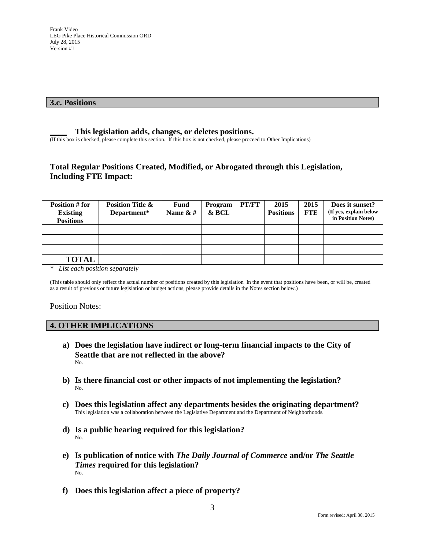#### **3.c. Positions**

#### **\_\_\_\_ This legislation adds, changes, or deletes positions.**

(If this box is checked, please complete this section. If this box is not checked, please proceed to Other Implications)

# **Total Regular Positions Created, Modified, or Abrogated through this Legislation, Including FTE Impact:**

| Position # for<br><b>Existing</b><br><b>Positions</b> | <b>Position Title &amp;</b><br>Department* | <b>Fund</b><br>Name $& 4$ | Program<br>& BCL | <b>PT/FT</b> | 2015<br><b>Positions</b> | 2015<br><b>FTE</b> | Does it sunset?<br>(If yes, explain below<br>in Position Notes) |
|-------------------------------------------------------|--------------------------------------------|---------------------------|------------------|--------------|--------------------------|--------------------|-----------------------------------------------------------------|
|                                                       |                                            |                           |                  |              |                          |                    |                                                                 |
|                                                       |                                            |                           |                  |              |                          |                    |                                                                 |
|                                                       |                                            |                           |                  |              |                          |                    |                                                                 |
| <b>TOTAL</b>                                          |                                            |                           |                  |              |                          |                    |                                                                 |

*\* List each position separately*

(This table should only reflect the actual number of positions created by this legislation In the event that positions have been, or will be, created as a result of previous or future legislation or budget actions, please provide details in the Notes section below.)

#### Position Notes:

#### **4. OTHER IMPLICATIONS**

- **a) Does the legislation have indirect or long-term financial impacts to the City of Seattle that are not reflected in the above?** No.
- **b) Is there financial cost or other impacts of not implementing the legislation?** No.
- **c) Does this legislation affect any departments besides the originating department?**  This legislation was a collaboration between the Legislative Department and the Department of Neighborhoods.
- **d) Is a public hearing required for this legislation?**  No.
- **e) Is publication of notice with** *The Daily Journal of Commerce* **and/or** *The Seattle Times* **required for this legislation?** No.
- **f) Does this legislation affect a piece of property?**